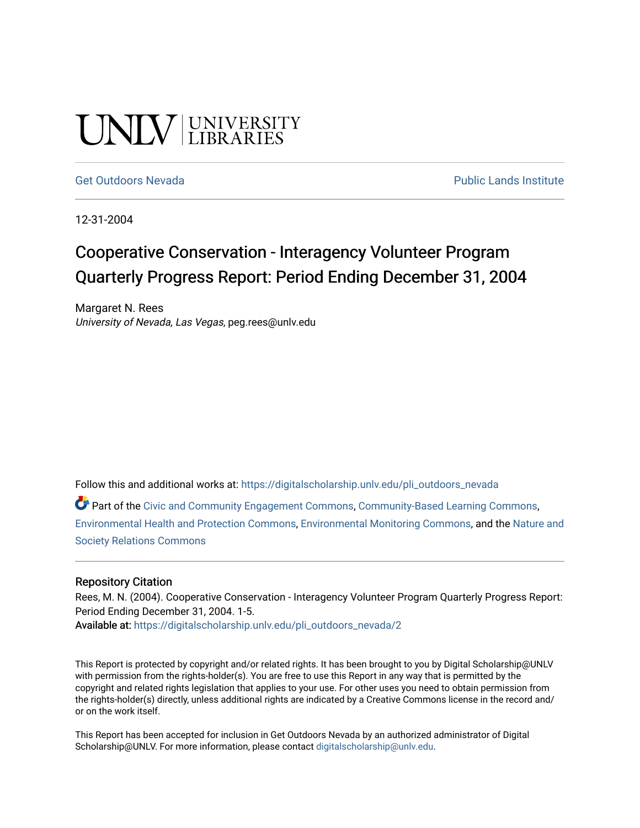# UNIV UNIVERSITY

[Get Outdoors Nevada](https://digitalscholarship.unlv.edu/pli_outdoors_nevada) **Public Lands Institute** Public Lands Institute

12-31-2004

## Cooperative Conservation - Interagency Volunteer Program Quarterly Progress Report: Period Ending December 31, 2004

Margaret N. Rees University of Nevada, Las Vegas, peg.rees@unlv.edu

Follow this and additional works at: [https://digitalscholarship.unlv.edu/pli\\_outdoors\\_nevada](https://digitalscholarship.unlv.edu/pli_outdoors_nevada?utm_source=digitalscholarship.unlv.edu%2Fpli_outdoors_nevada%2F2&utm_medium=PDF&utm_campaign=PDFCoverPages)

Part of the [Civic and Community Engagement Commons](http://network.bepress.com/hgg/discipline/1028?utm_source=digitalscholarship.unlv.edu%2Fpli_outdoors_nevada%2F2&utm_medium=PDF&utm_campaign=PDFCoverPages), [Community-Based Learning Commons](http://network.bepress.com/hgg/discipline/1046?utm_source=digitalscholarship.unlv.edu%2Fpli_outdoors_nevada%2F2&utm_medium=PDF&utm_campaign=PDFCoverPages), [Environmental Health and Protection Commons](http://network.bepress.com/hgg/discipline/172?utm_source=digitalscholarship.unlv.edu%2Fpli_outdoors_nevada%2F2&utm_medium=PDF&utm_campaign=PDFCoverPages), [Environmental Monitoring Commons,](http://network.bepress.com/hgg/discipline/931?utm_source=digitalscholarship.unlv.edu%2Fpli_outdoors_nevada%2F2&utm_medium=PDF&utm_campaign=PDFCoverPages) and the [Nature and](http://network.bepress.com/hgg/discipline/357?utm_source=digitalscholarship.unlv.edu%2Fpli_outdoors_nevada%2F2&utm_medium=PDF&utm_campaign=PDFCoverPages)  [Society Relations Commons](http://network.bepress.com/hgg/discipline/357?utm_source=digitalscholarship.unlv.edu%2Fpli_outdoors_nevada%2F2&utm_medium=PDF&utm_campaign=PDFCoverPages)

#### Repository Citation

Rees, M. N. (2004). Cooperative Conservation - Interagency Volunteer Program Quarterly Progress Report: Period Ending December 31, 2004. 1-5. Available at: [https://digitalscholarship.unlv.edu/pli\\_outdoors\\_nevada/2](https://digitalscholarship.unlv.edu/pli_outdoors_nevada/2)

This Report is protected by copyright and/or related rights. It has been brought to you by Digital Scholarship@UNLV with permission from the rights-holder(s). You are free to use this Report in any way that is permitted by the copyright and related rights legislation that applies to your use. For other uses you need to obtain permission from the rights-holder(s) directly, unless additional rights are indicated by a Creative Commons license in the record and/ or on the work itself.

This Report has been accepted for inclusion in Get Outdoors Nevada by an authorized administrator of Digital Scholarship@UNLV. For more information, please contact [digitalscholarship@unlv.edu.](mailto:digitalscholarship@unlv.edu)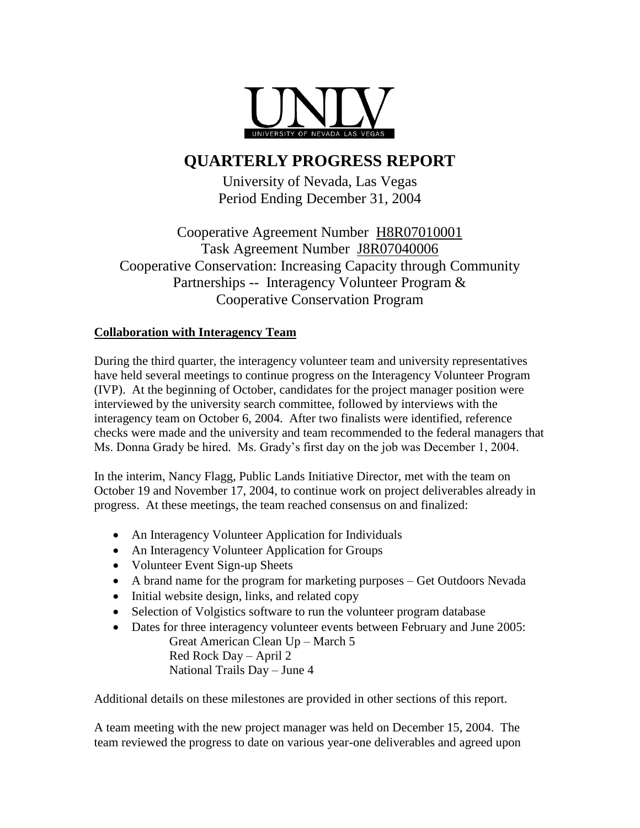

### **QUARTERLY PROGRESS REPORT**

University of Nevada, Las Vegas Period Ending December 31, 2004

Cooperative Agreement Number H8R07010001 Task Agreement Number J8R07040006 Cooperative Conservation: Increasing Capacity through Community Partnerships -- Interagency Volunteer Program & Cooperative Conservation Program

#### **Collaboration with Interagency Team**

During the third quarter, the interagency volunteer team and university representatives have held several meetings to continue progress on the Interagency Volunteer Program (IVP). At the beginning of October, candidates for the project manager position were interviewed by the university search committee, followed by interviews with the interagency team on October 6, 2004. After two finalists were identified, reference checks were made and the university and team recommended to the federal managers that Ms. Donna Grady be hired. Ms. Grady's first day on the job was December 1, 2004.

In the interim, Nancy Flagg, Public Lands Initiative Director, met with the team on October 19 and November 17, 2004, to continue work on project deliverables already in progress. At these meetings, the team reached consensus on and finalized:

- An Interagency Volunteer Application for Individuals
- An Interagency Volunteer Application for Groups
- Volunteer Event Sign-up Sheets
- A brand name for the program for marketing purposes Get Outdoors Nevada
- Initial website design, links, and related copy
- Selection of Volgistics software to run the volunteer program database
- Dates for three interagency volunteer events between February and June 2005: Great American Clean Up – March 5 Red Rock Day – April 2 National Trails Day – June 4

Additional details on these milestones are provided in other sections of this report.

A team meeting with the new project manager was held on December 15, 2004. The team reviewed the progress to date on various year-one deliverables and agreed upon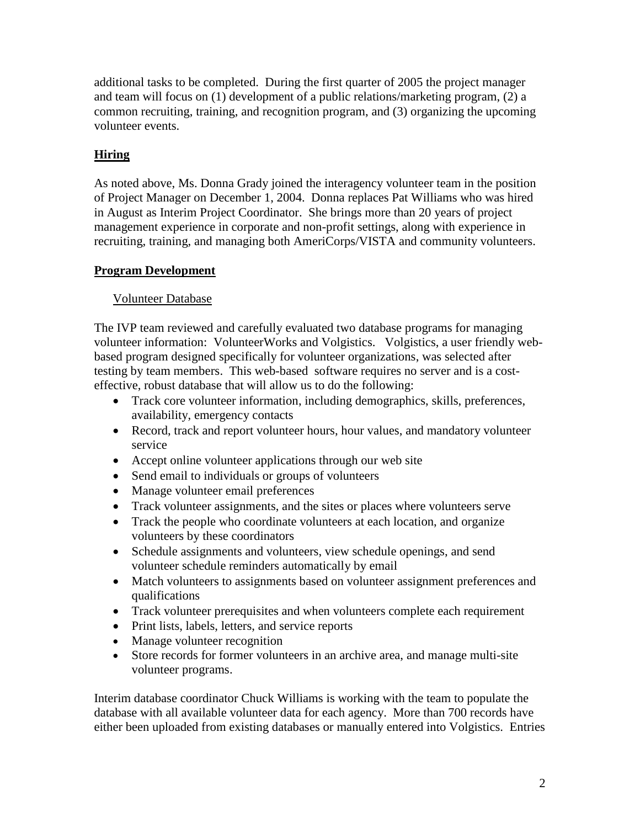additional tasks to be completed. During the first quarter of 2005 the project manager and team will focus on (1) development of a public relations/marketing program, (2) a common recruiting, training, and recognition program, and (3) organizing the upcoming volunteer events.

#### **Hiring**

As noted above, Ms. Donna Grady joined the interagency volunteer team in the position of Project Manager on December 1, 2004. Donna replaces Pat Williams who was hired in August as Interim Project Coordinator. She brings more than 20 years of project management experience in corporate and non-profit settings, along with experience in recruiting, training, and managing both AmeriCorps/VISTA and community volunteers.

#### **Program Development**

#### Volunteer Database

The IVP team reviewed and carefully evaluated two database programs for managing volunteer information: VolunteerWorks and Volgistics. Volgistics, a user friendly webbased program designed specifically for volunteer organizations, was selected after testing by team members. This web-based software requires no server and is a costeffective, robust database that will allow us to do the following:

- Track core volunteer information, including demographics, skills, preferences, availability, emergency contacts
- Record, track and report volunteer hours, hour values, and mandatory volunteer service
- Accept online volunteer applications through our web site
- Send email to individuals or groups of volunteers
- Manage volunteer email preferences
- Track volunteer assignments, and the sites or places where volunteers serve
- Track the people who coordinate volunteers at each location, and organize volunteers by these coordinators
- Schedule assignments and volunteers, view schedule openings, and send volunteer schedule reminders automatically by email
- Match volunteers to assignments based on volunteer assignment preferences and qualifications
- Track volunteer prerequisites and when volunteers complete each requirement
- Print lists, labels, letters, and service reports
- Manage volunteer recognition
- Store records for former volunteers in an archive area, and manage multi-site volunteer programs.

Interim database coordinator Chuck Williams is working with the team to populate the database with all available volunteer data for each agency. More than 700 records have either been uploaded from existing databases or manually entered into Volgistics. Entries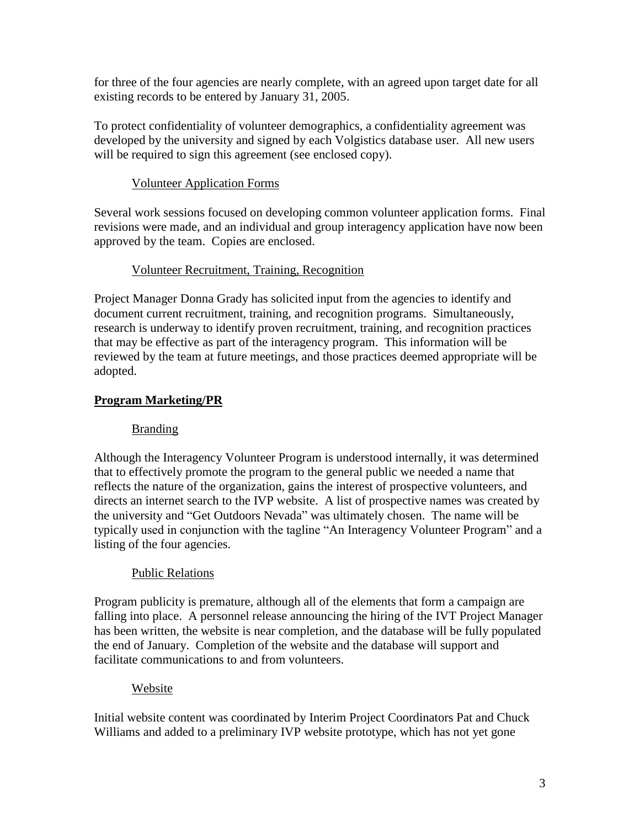for three of the four agencies are nearly complete, with an agreed upon target date for all existing records to be entered by January 31, 2005.

To protect confidentiality of volunteer demographics, a confidentiality agreement was developed by the university and signed by each Volgistics database user. All new users will be required to sign this agreement (see enclosed copy).

#### Volunteer Application Forms

Several work sessions focused on developing common volunteer application forms. Final revisions were made, and an individual and group interagency application have now been approved by the team. Copies are enclosed.

#### Volunteer Recruitment, Training, Recognition

Project Manager Donna Grady has solicited input from the agencies to identify and document current recruitment, training, and recognition programs. Simultaneously, research is underway to identify proven recruitment, training, and recognition practices that may be effective as part of the interagency program. This information will be reviewed by the team at future meetings, and those practices deemed appropriate will be adopted.

#### **Program Marketing/PR**

#### Branding

Although the Interagency Volunteer Program is understood internally, it was determined that to effectively promote the program to the general public we needed a name that reflects the nature of the organization, gains the interest of prospective volunteers, and directs an internet search to the IVP website. A list of prospective names was created by the university and "Get Outdoors Nevada" was ultimately chosen. The name will be typically used in conjunction with the tagline "An Interagency Volunteer Program" and a listing of the four agencies.

#### Public Relations

Program publicity is premature, although all of the elements that form a campaign are falling into place. A personnel release announcing the hiring of the IVT Project Manager has been written, the website is near completion, and the database will be fully populated the end of January. Completion of the website and the database will support and facilitate communications to and from volunteers.

#### Website

Initial website content was coordinated by Interim Project Coordinators Pat and Chuck Williams and added to a preliminary IVP website prototype, which has not yet gone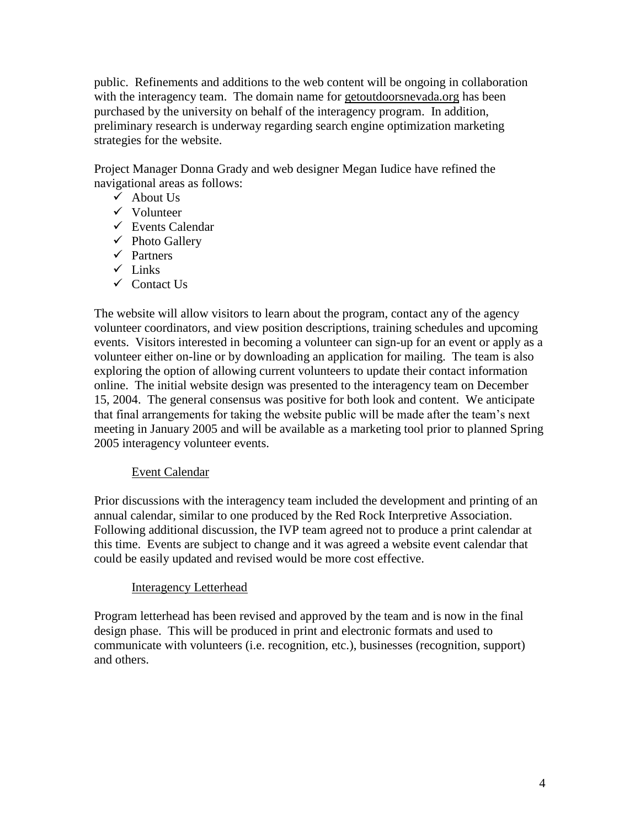public. Refinements and additions to the web content will be ongoing in collaboration with the interagency team. The domain name for getoutdoorsnevada.org has been purchased by the university on behalf of the interagency program. In addition, preliminary research is underway regarding search engine optimization marketing strategies for the website.

Project Manager Donna Grady and web designer Megan Iudice have refined the navigational areas as follows:

- $\checkmark$  About Us
- $\checkmark$  Volunteer
- $\checkmark$  Events Calendar
- $\checkmark$  Photo Gallery
- $\checkmark$  Partners
- $\checkmark$  Links
- $\checkmark$  Contact Us

The website will allow visitors to learn about the program, contact any of the agency volunteer coordinators, and view position descriptions, training schedules and upcoming events. Visitors interested in becoming a volunteer can sign-up for an event or apply as a volunteer either on-line or by downloading an application for mailing. The team is also exploring the option of allowing current volunteers to update their contact information online. The initial website design was presented to the interagency team on December 15, 2004. The general consensus was positive for both look and content. We anticipate that final arrangements for taking the website public will be made after the team's next meeting in January 2005 and will be available as a marketing tool prior to planned Spring 2005 interagency volunteer events.

#### Event Calendar

Prior discussions with the interagency team included the development and printing of an annual calendar, similar to one produced by the Red Rock Interpretive Association. Following additional discussion, the IVP team agreed not to produce a print calendar at this time. Events are subject to change and it was agreed a website event calendar that could be easily updated and revised would be more cost effective.

#### Interagency Letterhead

Program letterhead has been revised and approved by the team and is now in the final design phase. This will be produced in print and electronic formats and used to communicate with volunteers (i.e. recognition, etc.), businesses (recognition, support) and others.